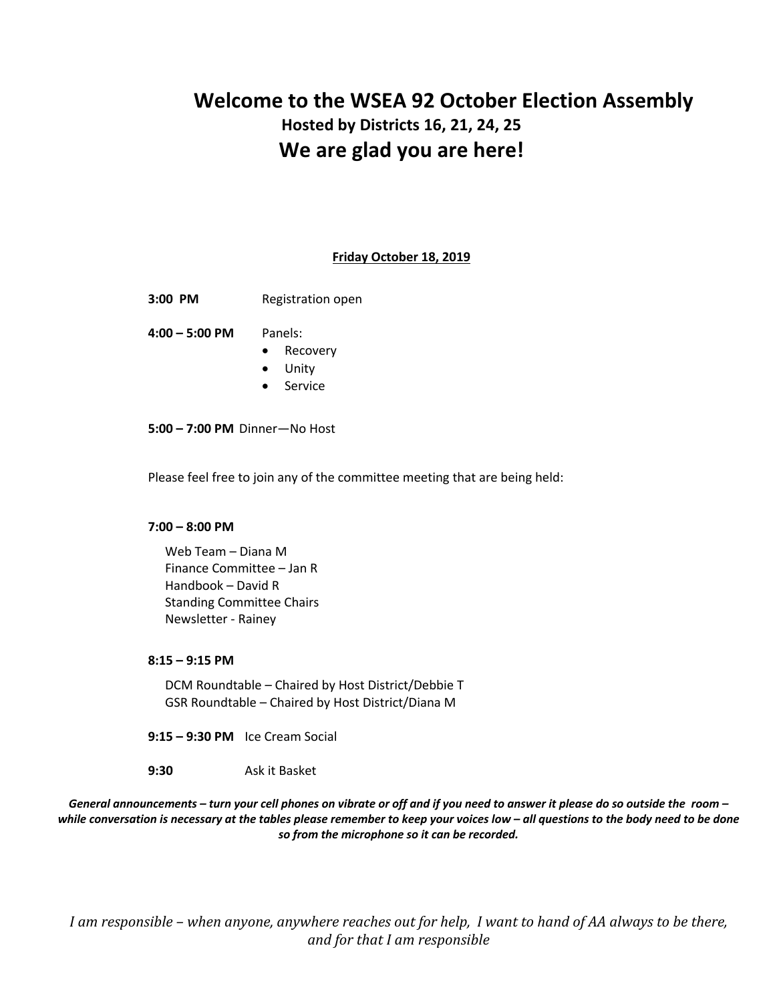# **Welcome to the WSEA 92 October Election Assembly Hosted by Districts 16, 21, 24, 25 We are glad you are here!**

#### **Friday October 18, 2019**

**3:00 PM** Registration open

**4:00 – 5:00 PM** Panels:

- Recovery
- Unity
- Service

**5:00 – 7:00 PM** Dinner—No Host

Please feel free to join any of the committee meeting that are being held:

#### **7:00 – 8:00 PM**

Web Team – Diana M Finance Committee – Jan R Handbook – David R Standing Committee Chairs Newsletter - Rainey

#### **8:15 – 9:15 PM**

DCM Roundtable – Chaired by Host District/Debbie T GSR Roundtable – Chaired by Host District/Diana M

**9:15 – 9:30 PM** Ice Cream Social

**9:30** Ask it Basket

*General announcements – turn your cell phones on vibrate or off and if you need to answer it please do so outside the room – while conversation is necessary at the tables please remember to keep your voices low – all questions to the body need to be done so from the microphone so it can be recorded.*

*I* am responsible – when anyone, anywhere reaches out for help, I want to hand of AA always to be there, *and for that I am responsible*